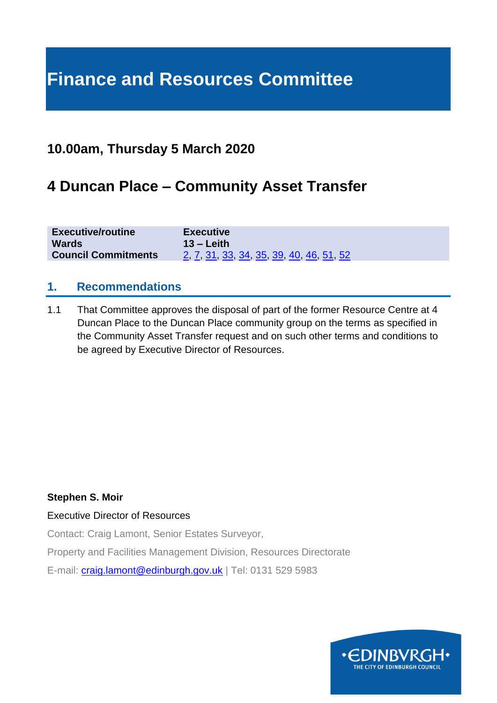## **Finance and Resources Committee**

### **10.00am, Thursday 5 March 2020**

### **4 Duncan Place – Community Asset Transfer**

| <b>Executive/routine</b>   | <b>Routine</b>                                  |
|----------------------------|-------------------------------------------------|
| <b>Wards</b>               | $13 -$ Leith                                    |
| <b>Council Commitments</b> | <u>2, 7, 31, 33, 34, 35, 39, 40, 46, 51, 52</u> |

#### **1. Recommendations**

1.1 That Committee approves the disposal of part of the former Resource Centre at 4 Duncan Place to the Duncan Place community group on the terms as specified in the Community Asset Transfer request and on such other terms and conditions to be agreed by Executive Director of Resources.

#### **Stephen S. Moir**

Executive Director of Resources

Contact: Craig Lamont, Senior Estates Surveyor,

Property and Facilities Management Division, Resources Directorate

E-mail: [craig.lamont@edinburgh.gov.uk](mailto:craig.lamont@edinburgh.gov.uk) | Tel: 0131 529 5983

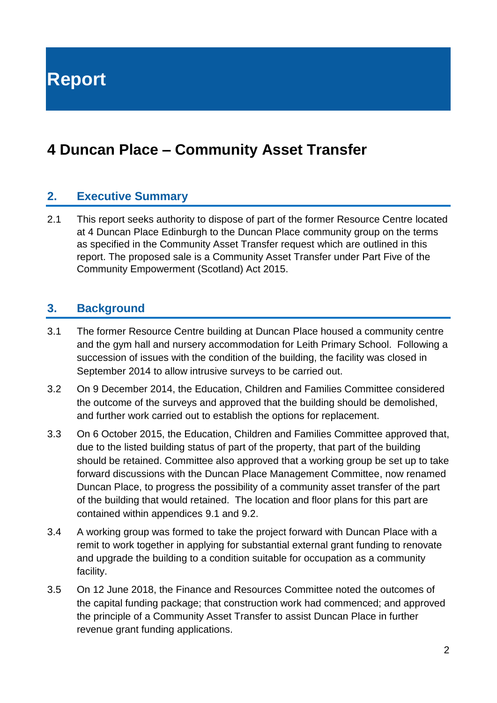**Report**

### **4 Duncan Place – Community Asset Transfer**

#### **2. Executive Summary**

2.1 This report seeks authority to dispose of part of the former Resource Centre located at 4 Duncan Place Edinburgh to the Duncan Place community group on the terms as specified in the Community Asset Transfer request which are outlined in this report. The proposed sale is a Community Asset Transfer under Part Five of the Community Empowerment (Scotland) Act 2015.

#### **3. Background**

- 3.1 The former Resource Centre building at Duncan Place housed a community centre and the gym hall and nursery accommodation for Leith Primary School. Following a succession of issues with the condition of the building, the facility was closed in September 2014 to allow intrusive surveys to be carried out.
- 3.2 On 9 December 2014, the Education, Children and Families Committee considered the outcome of the surveys and approved that the building should be demolished, and further work carried out to establish the options for replacement.
- 3.3 On 6 October 2015, the Education, Children and Families Committee approved that, due to the listed building status of part of the property, that part of the building should be retained. Committee also approved that a working group be set up to take forward discussions with the Duncan Place Management Committee, now renamed Duncan Place, to progress the possibility of a community asset transfer of the part of the building that would retained. The location and floor plans for this part are contained within appendices 9.1 and 9.2.
- 3.4 A working group was formed to take the project forward with Duncan Place with a remit to work together in applying for substantial external grant funding to renovate and upgrade the building to a condition suitable for occupation as a community facility.
- 3.5 On 12 June 2018, the Finance and Resources Committee noted the outcomes of the capital funding package; that construction work had commenced; and approved the principle of a Community Asset Transfer to assist Duncan Place in further revenue grant funding applications.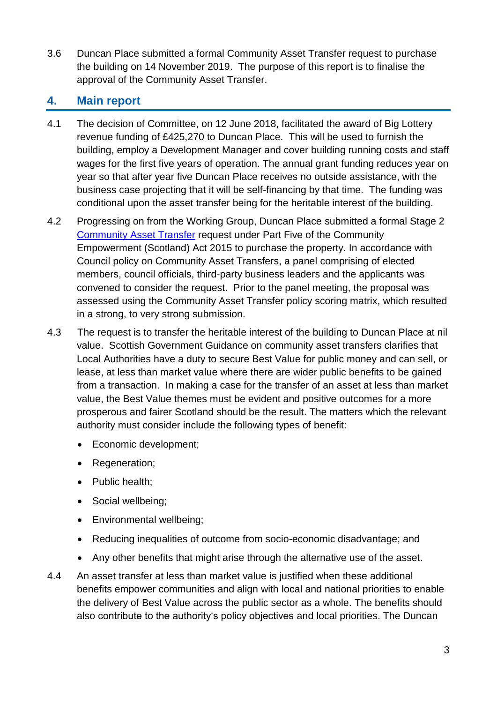3.6 Duncan Place submitted a formal Community Asset Transfer request to purchase the building on 14 November 2019. The purpose of this report is to finalise the approval of the Community Asset Transfer.

#### **4. Main report**

- 4.1 The decision of Committee, on 12 June 2018, facilitated the award of Big Lottery revenue funding of £425,270 to Duncan Place. This will be used to furnish the building, employ a Development Manager and cover building running costs and staff wages for the first five years of operation. The annual grant funding reduces year on year so that after year five Duncan Place receives no outside assistance, with the business case projecting that it will be self-financing by that time. The funding was conditional upon the asset transfer being for the heritable interest of the building.
- 4.2 Progressing on from the Working Group, Duncan Place submitted a formal Stage 2 [Community Asset Transfer](https://www.edinburgh.gov.uk/downloads/download/14369/duncan-place-business-case-documents) request under Part Five of the Community Empowerment (Scotland) Act 2015 to purchase the property. In accordance with Council policy on Community Asset Transfers, a panel comprising of elected members, council officials, third-party business leaders and the applicants was convened to consider the request. Prior to the panel meeting, the proposal was assessed using the Community Asset Transfer policy scoring matrix, which resulted in a strong, to very strong submission.
- 4.3 The request is to transfer the heritable interest of the building to Duncan Place at nil value. Scottish Government Guidance on community asset transfers clarifies that Local Authorities have a duty to secure Best Value for public money and can sell, or lease, at less than market value where there are wider public benefits to be gained from a transaction. In making a case for the transfer of an asset at less than market value, the Best Value themes must be evident and positive outcomes for a more prosperous and fairer Scotland should be the result. The matters which the relevant authority must consider include the following types of benefit:
	- Economic development;
	- Regeneration:
	- Public health;
	- Social wellbeing;
	- Environmental wellbeing;
	- Reducing inequalities of outcome from socio-economic disadvantage; and
	- Any other benefits that might arise through the alternative use of the asset.
- 4.4 An asset transfer at less than market value is justified when these additional benefits empower communities and align with local and national priorities to enable the delivery of Best Value across the public sector as a whole. The benefits should also contribute to the authority's policy objectives and local priorities. The Duncan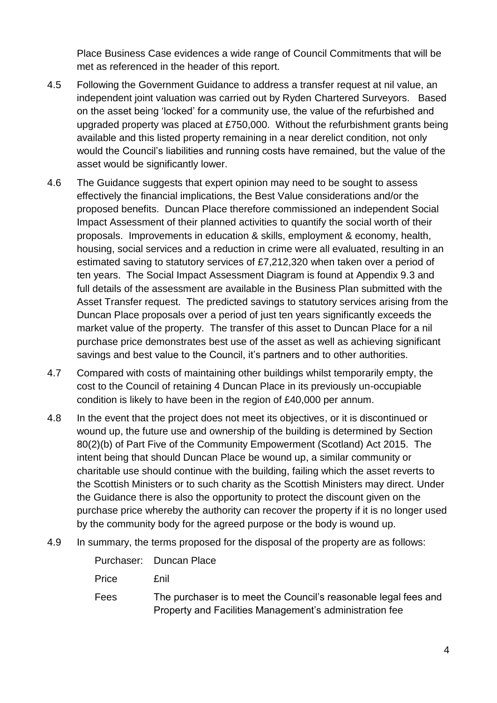Place Business Case evidences a wide range of Council Commitments that will be met as referenced in the header of this report.

- 4.5 Following the Government Guidance to address a transfer request at nil value, an independent joint valuation was carried out by Ryden Chartered Surveyors. Based on the asset being 'locked' for a community use, the value of the refurbished and upgraded property was placed at £750,000. Without the refurbishment grants being available and this listed property remaining in a near derelict condition, not only would the Council's liabilities and running costs have remained, but the value of the asset would be significantly lower.
- 4.6 The Guidance suggests that expert opinion may need to be sought to assess effectively the financial implications, the Best Value considerations and/or the proposed benefits. Duncan Place therefore commissioned an independent Social Impact Assessment of their planned activities to quantify the social worth of their proposals. Improvements in education & skills, employment & economy, health, housing, social services and a reduction in crime were all evaluated, resulting in an estimated saving to statutory services of £7,212,320 when taken over a period of ten years. The Social Impact Assessment Diagram is found at Appendix 9.3 and full details of the assessment are available in the [Business Plan](https://www.edinburgh.gov.uk/downloads/download/14369/duncan-place-business-case-documents) submitted with the Asset Transfer request. The predicted savings to statutory services arising from the Duncan Place proposals over a period of just ten years significantly exceeds the market value of the property. The transfer of this asset to Duncan Place for a nil purchase price demonstrates best use of the asset as well as achieving significant savings and best value to the Council, it's partners and to other authorities.
- 4.7 Compared with costs of maintaining other buildings whilst temporarily empty, the cost to the Council of retaining 4 Duncan Place in its previously un-occupiable condition is likely to have been in the region of £40,000 per annum.
- 4.8 In the event that the project does not meet its objectives, or it is discontinued or wound up, the future use and ownership of the building is determined by Section 80(2)(b) of Part Five of the Community Empowerment (Scotland) Act 2015. The intent being that should Duncan Place be wound up, a similar community or charitable use should continue with the building, failing which the asset reverts to the Scottish Ministers or to such charity as the Scottish Ministers may direct. Under the Guidance there is also the opportunity to protect the discount given on the purchase price whereby the authority can recover the property if it is no longer used by the community body for the agreed purpose or the body is wound up.
- 4.9 In summary, the terms proposed for the disposal of the property are as follows:

Purchaser: Duncan Place

Price £nil

Fees The purchaser is to meet the Council's reasonable legal fees and Property and Facilities Management's administration fee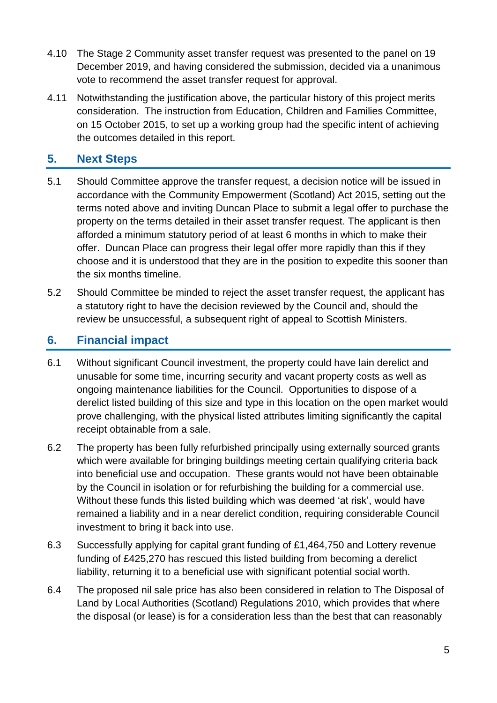- 4.10 The Stage 2 Community asset transfer request was presented to the panel on 19 December 2019, and having considered the submission, decided via a unanimous vote to recommend the asset transfer request for approval.
- 4.11 Notwithstanding the justification above, the particular history of this project merits consideration. The instruction from Education, Children and Families Committee, on 15 October 2015, to set up a working group had the specific intent of achieving the outcomes detailed in this report.

#### **5. Next Steps**

- 5.1 Should Committee approve the transfer request, a decision notice will be issued in accordance with the Community Empowerment (Scotland) Act 2015, setting out the terms noted above and inviting Duncan Place to submit a legal offer to purchase the property on the terms detailed in their asset transfer request. The applicant is then afforded a minimum statutory period of at least 6 months in which to make their offer. Duncan Place can progress their legal offer more rapidly than this if they choose and it is understood that they are in the position to expedite this sooner than the six months timeline.
- 5.2 Should Committee be minded to reject the asset transfer request, the applicant has a statutory right to have the decision reviewed by the Council and, should the review be unsuccessful, a subsequent right of appeal to Scottish Ministers.

#### **6. Financial impact**

- 6.1 Without significant Council investment, the property could have lain derelict and unusable for some time, incurring security and vacant property costs as well as ongoing maintenance liabilities for the Council. Opportunities to dispose of a derelict listed building of this size and type in this location on the open market would prove challenging, with the physical listed attributes limiting significantly the capital receipt obtainable from a sale.
- 6.2 The property has been fully refurbished principally using externally sourced grants which were available for bringing buildings meeting certain qualifying criteria back into beneficial use and occupation. These grants would not have been obtainable by the Council in isolation or for refurbishing the building for a commercial use. Without these funds this listed building which was deemed 'at risk', would have remained a liability and in a near derelict condition, requiring considerable Council investment to bring it back into use.
- 6.3 Successfully applying for capital grant funding of £1,464,750 and Lottery revenue funding of £425,270 has rescued this listed building from becoming a derelict liability, returning it to a beneficial use with significant potential social worth.
- 6.4 The proposed nil sale price has also been considered in relation to The Disposal of Land by Local Authorities (Scotland) Regulations 2010, which provides that where the disposal (or lease) is for a consideration less than the best that can reasonably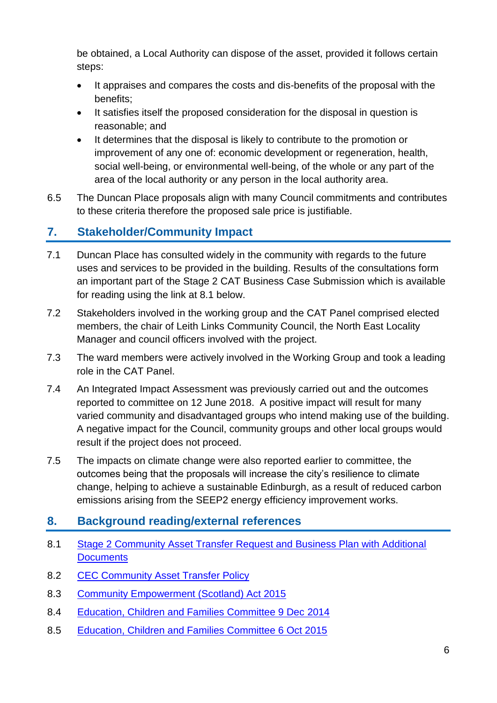be obtained, a Local Authority can dispose of the asset, provided it follows certain steps:

- It appraises and compares the costs and dis-benefits of the proposal with the benefits;
- It satisfies itself the proposed consideration for the disposal in question is reasonable; and
- It determines that the disposal is likely to contribute to the promotion or improvement of any one of: economic development or regeneration, health, social well-being, or environmental well-being, of the whole or any part of the area of the local authority or any person in the local authority area.
- 6.5 The Duncan Place proposals align with many Council commitments and contributes to these criteria therefore the proposed sale price is justifiable.

#### **7. Stakeholder/Community Impact**

- 7.1 Duncan Place has consulted widely in the community with regards to the future uses and services to be provided in the building. Results of the consultations form an important part of the Stage 2 CAT Business Case Submission which is available for reading using the link at 8.1 below.
- 7.2 Stakeholders involved in the working group and the CAT Panel comprised elected members, the chair of Leith Links Community Council, the North East Locality Manager and council officers involved with the project.
- 7.3 The ward members were actively involved in the Working Group and took a leading role in the CAT Panel.
- 7.4 An Integrated Impact Assessment was previously carried out and the outcomes reported to committee on 12 June 2018. A positive impact will result for many varied community and disadvantaged groups who intend making use of the building. A negative impact for the Council, community groups and other local groups would result if the project does not proceed.
- 7.5 The impacts on climate change were also reported earlier to committee, the outcomes being that the proposals will increase the city's resilience to climate change, helping to achieve a sustainable Edinburgh, as a result of reduced carbon emissions arising from the SEEP2 energy efficiency improvement works.

#### **8. Background reading/external references**

- 8.1 [Stage 2 Community Asset Transfer Request and Business Plan with Additional](https://www.edinburgh.gov.uk/downloads/download/14369/duncan-place-business-case-documents)  **[Documents](https://www.edinburgh.gov.uk/downloads/download/14369/duncan-place-business-case-documents)**
- 8.2 [CEC Community Asset Transfer Policy](https://www.edinburgh.gov.uk/downloads/file/26825/community-asset-transfer-policy)
- 8.3 [Community Empowerment \(Scotland\) Act 2015](http://www.legislation.gov.uk/asp/2015/6/contents/enacted)
- 8.4 [Education, Children and Families Committee 9 Dec 2014](https://democracy.edinburgh.gov.uk/Data/Education,%20Children%20and%20Families%20Committee/20141209/Agenda/item_79_-_closure_of_duncan_place_including_implications_for_leith_primary_school.pdf)
- 8.5 [Education, Children and Families Committee 6 Oct 2015](https://democracy.edinburgh.gov.uk/Data/Education,%20Children%20and%20Families%20Committee/20151006/Agenda/item_713_-_duncan_place_and_leith_primary_school.pdf)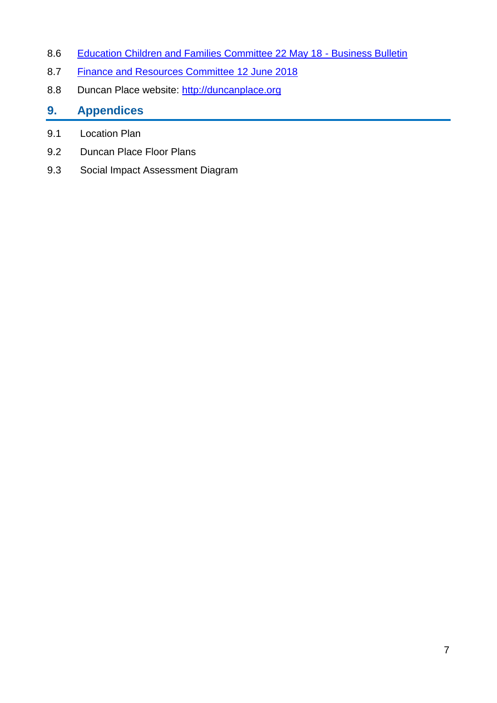- 8.6 [Education Children and Families Committee 22 May 18 -](https://democracy.edinburgh.gov.uk/Data/Education,%20Children%20and%20Families%20Committee/20180522/Agenda/item_61_-_business_bulletin.pdf) Business Bulletin
- 8.7 [Finance and Resources Committee 12 June 2018](https://democracy.edinburgh.gov.uk/Data/Finance%20and%20Resources%20Committee/20180612/Agenda/item_718_-_4_duncan_place_-_community_asset_transfer_update.pdf)
- 8.8 Duncan Place website: [http://duncanplace.org](http://duncanplace.org/)

#### **9. Appendices**

- 9.1 Location Plan
- 9.2 Duncan Place Floor Plans
- 9.3 Social Impact Assessment Diagram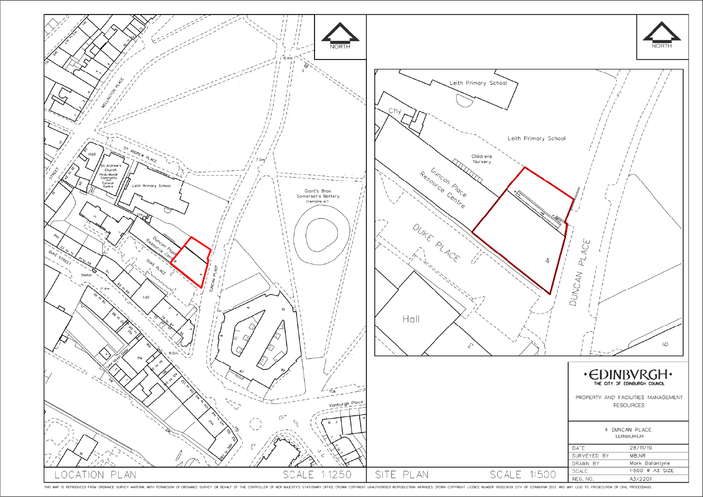

THIS MAP IS REPRODUCED FROM ORDNANCE SURVEY MATERIAL WITH PERMISSION OF ORDNANCE SURVEY ON BEHALF OF THE CONTROLLER OF HER MAJESTY'S STATIONARY OFFICE CROWN COPYRIGHT. UNAUTHORISED REPRODUCTION INFRINGES CROWN COPYRIGHT LI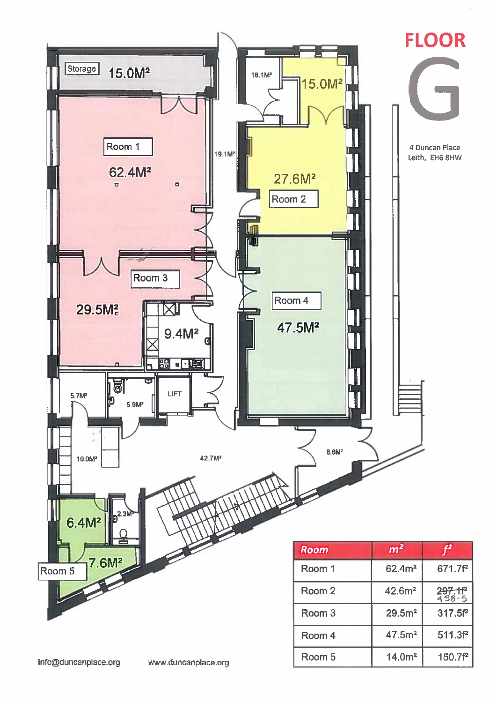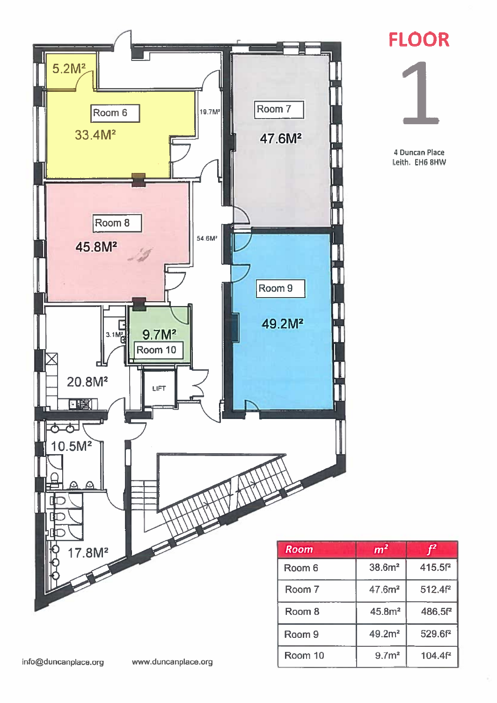



4 Duncan Place Leith. EH6 8HW

| Room    | m <sup>2</sup>     |                    |
|---------|--------------------|--------------------|
| Room 6  | 38.6 <sup>m²</sup> | 415.5 <sup>P</sup> |
| Room 7  | 47.6 <sup>2</sup>  | 512.4f2            |
| Room 8  | 45.8m <sup>2</sup> | 486.5f2            |
| Room 9  | 49.2 <sup>2</sup>  | 529.6f2            |
| Room 10 | 9.7 <sup>m²</sup>  | 104.4f2            |

www.duncanplace.org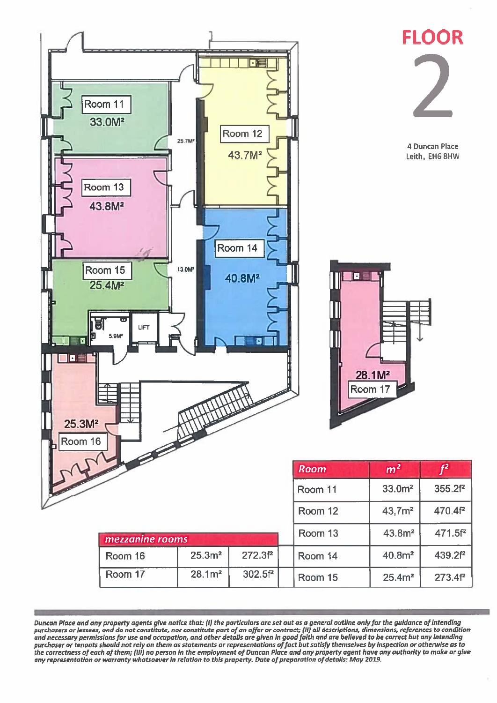

Duncan Place and any property agents give notice that: (I) the particulars are set out as a general outline only for the guidance of intending<br>purchasers or lessees, and do not constitute, nor constitute part of an offer o any representation or warranty whatsoever in relation to this praperty. Date of preparation of details: May 2019.